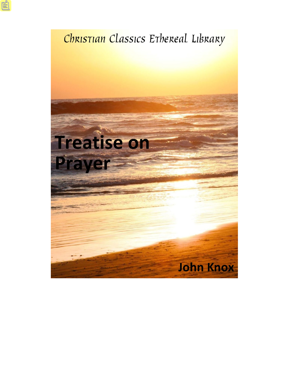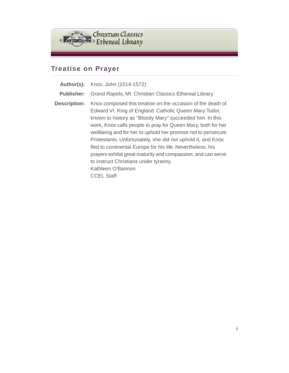

# **Treatise on Prayer**

| Author(s):          | Knox, John (1514-1572)                                                                                                                                                                                                                                                                                                                                                                                                                                                                                                                                                                            |
|---------------------|---------------------------------------------------------------------------------------------------------------------------------------------------------------------------------------------------------------------------------------------------------------------------------------------------------------------------------------------------------------------------------------------------------------------------------------------------------------------------------------------------------------------------------------------------------------------------------------------------|
| <b>Publisher:</b>   | Grand Rapids, MI: Christian Classics Ethereal Library                                                                                                                                                                                                                                                                                                                                                                                                                                                                                                                                             |
| <b>Description:</b> | Knox composed this treatise on the occasion of the death of<br>Edward VI, King of England. Catholic Queen Mary Tudor,<br>known to history as "Bloody Mary" succeeded him. In this<br>work, Knox calls people to pray for Queen Mary, both for her<br>wellbeing and for her to uphold her promise not to persecute<br>Protestants. Unfortunately, she did not uphold it, and Knox<br>fled to continental Europe for his life. Nevertheless, his<br>prayers exhibit great maturity and compassion, and can serve<br>to instruct Christians under tyranny.<br>Kathleen O'Bannon<br><b>CCEL Staff</b> |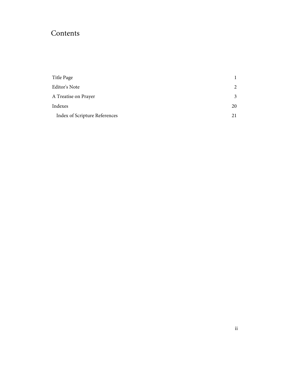## Contents

| 2  |
|----|
| 3  |
| 20 |
| 21 |
|    |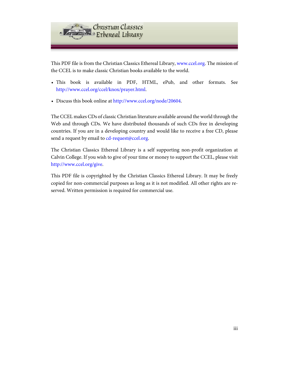

This PDF file is from the Christian Classics Ethereal Library, [www.ccel.org.](http://www.ccel.org) The mission of the CCEL is to make classic Christian books available to the world.

- This book is available in PDF, HTML, ePub, and other formats. See <http://www.ccel.org/ccel/knox/prayer.html>.
- Discuss this book online at [http://www.ccel.org/node/20604.](http://www.ccel.org/node/20604)

The CCEL makes CDs of classic Christian literature available around the world through the Web and through CDs. We have distributed thousands of such CDs free in developing countries. If you are in a developing country and would like to receive a free CD, please send a request by email to [cd-request@ccel.org.](mailto:cd-request@ccel.org)

The Christian Classics Ethereal Library is a self supporting non-profit organization at Calvin College. If you wish to give of your time or money to support the CCEL, please visit [http://www.ccel.org/give.](http://www.ccel.org/give)

This PDF file is copyrighted by the Christian Classics Ethereal Library. It may be freely copied for non-commercial purposes as long as it is not modified. All other rights are reserved. Written permission is required for commercial use.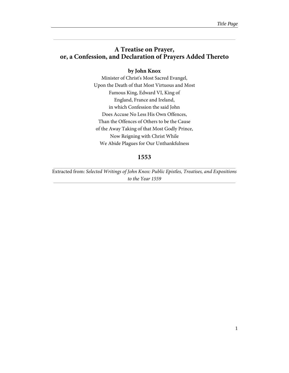### <span id="page-4-0"></span>**A Treatise on Prayer, or, a Confession, and Declaration of Prayers Added Thereto**

#### **by John Knox**

Minister of Christ's Most Sacred Evangel, Upon the Death of that Most Virtuous and Most Famous King, Edward VI, King of England, France and Ireland, in which Confession the said John Does Accuse No Less His Own Offences, Than the Offences of Others to be the Cause of the Away Taking of that Most Godly Prince, Now Reigning with Christ While We Abide Plagues for Our Unthankfulness

### **1553**

Extracted from: Selected Writings of John Knox: Public Epistles, Treatises, and Expositions to the Year 1559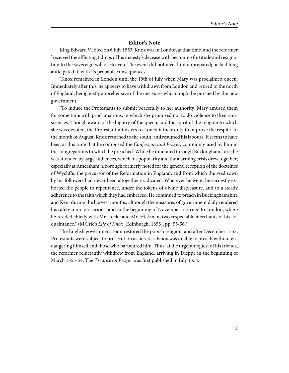#### **Editor's Note**

<span id="page-5-0"></span>King Edward VI died on 6 July 1553. Knox was in London at that time, and the reformer "received the afflicting tidings of his majesty's decease with becoming fortitude and resignation to the sovereign will of Heaven. The event did not meet him unprepared; he had long anticipated it, with its probable consequences.

"Knox remained in London until the 19th of July when Mary was proclaimed queen. Immediately after this, he appears to have withdrawn from London and retired to the north of England, being justly apprehensive of the measures which might be pursued by the new government.

"To induce the Protestants to submit peacefully to her authority, Mary amused them for some time with proclamations, in which she promised not to do violence to their consciences. Though aware of the bigotry of the queen, and the spirit of the religion to which she was devoted, the Protestant ministers reckoned it their duty to improve the respite. In the month of August, Knox returned to the south, and resumed his labours. It seems to have been at this time that he composed the Confession and Prayer, commonly used by him in the congregations to which he preached. While he itinerated through Buckinghamshire, he was attended by large audiences, which his popularity and the alarming crisis drew together; especially at Amersham, a borough formerly noted for the general reception of the doctrines of Wycliffe, the precursor of the Reformation in England, and from which the seed sown by his followers had never been altogether eradicated. Wherever he went, he earnestly exhorted the people to repentance, under the tokens of divine displeasure, and to a steady adherence to the faith which they had embraced. He continued to preach in Buckinghamshire and Kent during the harvest months, although the measures of government daily rendered his safety more precarious; and in the beginning of November returned to London, where he resided chiefly with Mr. Locke and Mr. Hickman, two respectable merchants of his acquaintance." (M'Crie's Life of Knox [Edinburgh, 1855], pp. 55-56.)

The English government soon restored the popish religion; and after December 1553, Protestants were subject to prosecution as heretics. Knox was unable to preach without endangering himself and those who harboured him. Thus, at the urgent request of his friends, the reformer reluctantly withdrew from England, arriving in Dieppe in the beginning of March 1553-54. The Treatise on Prayer was first published in July 1554.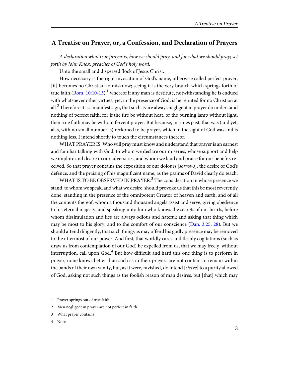### <span id="page-6-0"></span>**A Treatise on Prayer, or, a Confession, and Declaration of Prayers**

A declaration what true prayer is, how we should pray, and for what we should pray; set forth by John Knox, preacher of God's holy word.

Unto the small and dispersed flock of Jesus Christ.

<span id="page-6-2"></span>How necessary is the right invocation of God's name, otherwise called perfect prayer, [it] becomes no Christian to misknow; seeing it is the very branch which springs forth of true faith [\(Rom. 10:10-13\)](http://www.ccel.org/study/Bible:Rom.10.10-Rom.10.13);<sup>1</sup> whereof if any man is destitute, notwithstanding he is endued with whatsoever other virtues, yet, in the presence of God, is he reputed for no Christian at all. $^2$  Therefore it is a manifest sign, that such as are always negligent in prayer do understand nothing of perfect faith; for if the fire be without heat, or the burning lamp without light, then true faith may be without fervent prayer. But because, in times past, that was (and yet, alas, with no small number is) reckoned to be prayer, which in the sight of God was and is nothing less, I intend shortly to touch the circumstances thereof.

WHAT PRAYER IS. Who will pray must know and understand that prayer is an earnest and familiar talking with God, to whom we declare our miseries, whose support and help we implore and desire in our adversities, and whom we laud and praise for our benefits received. So that prayer contains the exposition of our dolours [sorrows], the desire of God's defence, and the praising of his magnificent name, as the psalms of David clearly do teach.

<span id="page-6-1"></span>WHAT IS TO BE OBSERVED IN PRAYER.<sup>3</sup> The consideration in whose presence we stand, to whom we speak, and what we desire, should provoke us that this be most reverently done; standing in the presence of the omnipotent Creator of heaven and earth, and of all the contents thereof; whom a thousand thousand angels assist and serve, giving obedience to his eternal majesty; and speaking unto him who knows the secrets of our hearts, before whom dissimulation and lies are always odious and hateful; and asking that thing which may be most to his glory, and to the comfort of our conscience ([Dan. 3:25](http://www.ccel.org/study/Bible:Dan.3.25), [28\)](http://www.ccel.org/study/Bible:Dan.3.28). But we should attend diligently, that such things as may offend his godly presence may be removed to the uttermost of our power. And first, that worldly cares and fleshly cogitations (such as draw us from contemplation of our God) be expelled from us, that we may freely, without interruption, call upon God.<sup>4</sup> But how difficult and hard this one thing is to perform in prayer, none knows better than such as in their prayers are not content to remain within the bands of their own vanity, but, as it were, ravished, do intend [strive] to a purity allowed of God; asking not such things as the foolish reason of man desires, but [that] which may

<sup>1</sup> Prayer springs out of true faith

<sup>2</sup> Men negligent in prayer are not perfect in faith

<sup>3</sup> What prayer contains

<sup>4</sup> Note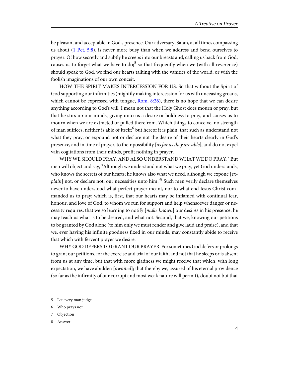<span id="page-7-1"></span>be pleasant and acceptable in God's presence. Our adversary, Satan, at all times compassing us about ([1 Pet. 5:8\)](http://www.ccel.org/study/Bible:1Pet.5.8), is never more busy than when we address and bend ourselves to prayer. O! how secretly and subtly he creeps into our breasts and, calling us back from God, causes us to forget what we have to do; $^5$  so that frequently when we (with all reverence) should speak to God, we find our hearts talking with the vanities of the world, or with the foolish imaginations of our own conceit.

<span id="page-7-0"></span>HOW THE SPIRIT MAKES INTERCESSION FOR US. So that without the Spirit of God supporting our infirmities (mightily making intercession for us with unceasing groans, which cannot be expressed with tongue, [Rom. 8:26\)](http://www.ccel.org/study/Bible:Rom.8.26), there is no hope that we can desire anything according to God's will. I mean not that the Holy Ghost does mourn or pray, but that he stirs up our minds, giving unto us a desire or boldness to pray, and causes us to mourn when we are extracted or pulled therefrom. Which things to conceive, no strength of man suffices, neither is able of itself; $^6$  but hereof it is plain, that such as understand not what they pray, or expound not or declare not the desire of their hearts clearly in God's presence, and in time of prayer, to their possibility [as far as they are able], and do not expel vain cogitations from their minds, profit nothing in prayer.

WHY WE SHOULD PRAY, AND ALSO UNDERSTAND WHAT WE DO PRAY.<sup>7</sup> But men will object and say, "Although we understand not what we pray, yet God understands, who knows the secrets of our hearts; he knows also what we need, although we expone  $[ex$  $plain]$  not, or declare not, our necessities unto him." $^8$  Such men verily declare themselves never to have understood what perfect prayer meant, nor to what end Jesus Christ commanded us to pray: which is, first, that our hearts may be inflamed with continual fear, honour, and love of God, to whom we run for support and help whensoever danger or necessity requires; that we so learning to notify [make known] our desires in his presence, he may teach us what is to be desired, and what not. Second, that we, knowing our petitions to be granted by God alone (to him only we must render and give laud and praise), and that we, ever having his infinite goodness fixed in our minds, may constantly abide to receive that which with fervent prayer we desire.

WHY GOD DEFERS TO GRANT OUR PRAYER. For sometimes God defers or prolongs to grant our petitions, for the exercise and trial of our faith, and not that he sleeps or is absent from us at any time, but that with more gladness we might receive that which, with long expectation, we have abidden  $[awaited]$ ; that thereby we, assured of his eternal providence (so far as the infirmity of our corrupt and most weak nature will permit), doubt not but that

<sup>5</sup> Let every man judge

<sup>6</sup> Who prays not

<sup>7</sup> Objection

<sup>8</sup> Answer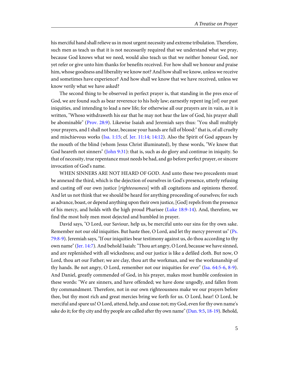his merciful hand shall relieve us in most urgent necessity and extreme tribulation. Therefore, such men as teach us that it is not necessarily required that we understand what we pray, because God knows what we need, would also teach us that we neither honour God, nor yet refer or give unto him thanks for benefits received. For how shall we honour and praise him, whose goodness and liberality we know not? And how shall we know, unless we receive and sometimes have experience? And how shall we know that we have received, unless we know verily what we have asked?

<span id="page-8-2"></span><span id="page-8-1"></span>The second thing to be observed in perfect prayer is, that standing in the pres ence of God, we are found such as bear reverence to his holy law; earnestly repent ing [of] our past iniquities, and intending to lead a new life; for otherwise all our prayers are in vain, as it is written, "Whoso withdraweth his ear that he may not hear the law of God, his prayer shall be abominable" ([Prov. 28:9\)](http://www.ccel.org/study/Bible:Prov.28.9). Likewise Isaiah and Jeremiah says thus: "You shall multiply your prayers, and I shall not hear, because your hands are full of blood:" that is, of all cruelty and mischievous works [\(Isa. 1:15;](http://www.ccel.org/study/Bible:Isa.1.15) cf. [Jer. 11:14](http://www.ccel.org/study/Bible:Jer.11.14); [14:12](http://www.ccel.org/study/Bible:Jer.14.12)). Also the Spirit of God appears by the mouth of the blind (whom Jesus Christ illuminated), by these words, "We know that God heareth not sinners" ([John 9:31\)](http://www.ccel.org/study/Bible:John.9.31): that is, such as do glory and continue in iniquity. So that of necessity, true repentance must needs be had, and go before perfect prayer, or sincere invocation of God's name.

<span id="page-8-7"></span><span id="page-8-6"></span>WHEN SINNERS ARE NOT HEARD OF GOD. And unto these two precedents must be annexed the third, which is the dejection of ourselves in God's presence, utterly refusing and casting off our own justice [righteousness] with all cogitations and opinions thereof. And let us not think that we should be heard for anything proceeding of ourselves; for such as advance, boast, or depend anything upon their own justice, [God] repels from the presence of his mercy, and holds with the high proud Pharisee ([Luke 18:9-14](http://www.ccel.org/study/Bible:Luke.18.9-Luke.18.14)). And, therefore, we find the most holy men most dejected and humbled in prayer.

<span id="page-8-5"></span><span id="page-8-4"></span><span id="page-8-3"></span><span id="page-8-0"></span>David says, "O Lord, our Saviour, help us, be merciful unto our sins for thy own sake. Remember not our old iniquities. But haste thee, O Lord, and let thy mercy prevent us" [\(Ps.](http://www.ccel.org/study/Bible:Ps.79.8-Ps.79.9) [79:8-9\)](http://www.ccel.org/study/Bible:Ps.79.8-Ps.79.9). Jeremiah says, "If our iniquities bear testimony against us, do thou according to thy own name" ([Jer. 14:7\)](http://www.ccel.org/study/Bible:Jer.14.7). And behold Isaiah: "Thou art angry, O Lord, because we have sinned, and are replenished with all wickedness; and our justice is like a defiled cloth. But now, O Lord, thou art our Father; we are clay, thou art the workman, and we the workmanship of thy hands. Be not angry, O Lord, remember not our iniquities for ever" [\(Isa. 64:5-6,](http://www.ccel.org/study/Bible:Isa.64.5-Isa.64.6) [8-9\)](http://www.ccel.org/study/Bible:Isa.64.8-Isa.64.9). And Daniel, greatly commended of God, in his prayer, makes most humble confession in these words: "We are sinners, and have offended; we have done ungodly, and fallen from thy commandment. Therefore, not in our own righteousness make we our prayers before thee, but thy most rich and great mercies bring we forth for us. O Lord, hear! O Lord, be merciful and spare us! O Lord, attend, help, and cease not; my God, even for thy own name's sake do it; for thy city and thy people are called after thy own name" [\(Dan. 9:5](http://www.ccel.org/study/Bible:Dan.9.5), [18-19\)](http://www.ccel.org/study/Bible:Dan.9.18-Dan.9.19). Behold,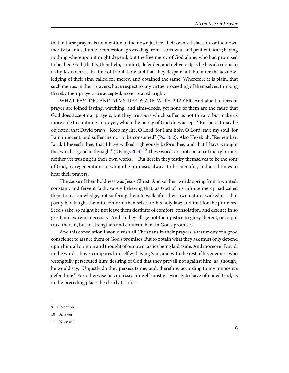that in these prayers is no mention of their own justice, their own satisfaction, or their own merits; but most humble confession, proceeding from a sorrowful and penitent heart; having nothing whereupon it might depend, but the free mercy of God alone, who had promised to be their God (that is, their help, comfort, defender, and deliverer); as he has also done to us by Jesus Christ, in time of tribulation; and that they despair not, but after the acknowledging of their sins, called for mercy, and obtained the same. Wherefore it is plain, that such men as, in their prayers, have respect to any virtue proceeding of themselves, thinking thereby their prayers are accepted, never prayed aright.

<span id="page-9-1"></span><span id="page-9-0"></span>WHAT FASTING AND ALMS-DEEDS ARE, WITH PRAYER. And albeit to fervent prayer are joined fasting, watching, and alms-deeds, yet none of them are the cause that God does accept our prayers; but they are spurs which suffer us not to vary, but make us more able to continue in prayer, which the mercy of God does accept.<sup>9</sup> But here it may be objected, that David prays, "Keep my life, O Lord, for I am holy. O Lord, save my soul, for I am innocent; and suffer me not to be consumed" [\(Ps. 86:2\)](http://www.ccel.org/study/Bible:Ps.86.2). Also Hezekiah, "Remember, Lord, I beseech thee, that I have walked righteously before thee, and that I have wrought that which is good in thy sight"  $(2$  Kings  $20:3)$ .<sup>10</sup> These words are not spoken of men glorious, neither yet trusting in their own works. $^{11}$  But herein they testify themselves to be the sons of God, by regeneration; to whom he promises always to be merciful, and at all times to hear their prayers.

The cause of their boldness was Jesus Christ. And so their words spring from a wonted, constant, and fervent faith, surely believing that, as God of his infinite mercy had called them to his knowledge, not suffering them to walk after their own natural wickedness, but partly had taught them to conform themselves to his holy law; and that for the promised Seed's sake; so might he not leave them destitute of comfort, consolation, and defence in so great and extreme necessity. And so they allege not their justice to glory thereof, or to put trust therein, but to strengthen and confirm them in God's promises.

And this consolation I would wish all Christians in their prayers: a testimony of a good conscience to assure them of God's promises. But to obtain what they ask must only depend upon him, all opinion and thought of our own justice being laid aside. And moreover David, in the words above, compares himself with King Saul, and with the rest of his enemies, who wrongfully persecuted him; desiring of God that they prevail not against him, as [though] he would say, "Unjustly do they persecute me, and, therefore, according to my innocence defend me." For otherwise he confesses himself most grievously to have offended God, as in the preceding places he clearly testifies.

<sup>9</sup> Objection

<sup>10</sup> Answer

<sup>11</sup> Note well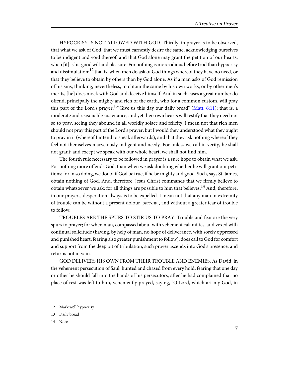<span id="page-10-0"></span>HYPOCRISY IS NOT ALLOWED WITH GOD. Thirdly, in prayer is to be observed, that what we ask of God, that we must earnestly desire the same, acknowledging ourselves to be indigent and void thereof; and that God alone may grant the petition of our hearts, when [it] is his good will and pleasure. For nothing is more odious before God than hypocrisy and dissimulation: $^{12}$  that is, when men do ask of God things whereof they have no need, or that they believe to obtain by others than by God alone. As if a man asks of God remission of his sins, thinking, nevertheless, to obtain the same by his own works, or by other men's merits, [he] does mock with God and deceive himself. And in such cases a great number do offend, principally the mighty and rich of the earth, who for a common custom, will pray this part of the Lord's prayer,  $13^{\circ}$  Give us this day our daily bread" ([Matt. 6:11](http://www.ccel.org/study/Bible:Matt.6.11)): that is, a moderate and reasonable sustenance; and yet their own hearts will testify that they need not so to pray, seeing they abound in all worldly solace and felicity. I mean not that rich men should not pray this part of the Lord's prayer, but I would they understood what they ought to pray in it (whereof I intend to speak afterwards), and that they ask nothing whereof they feel not themselves marvelously indigent and needy. For unless we call in verity, he shall not grant; and except we speak with our whole heart, we shall not find him.

The fourth rule necessary to be followed in prayer is a sure hope to obtain what we ask. For nothing more offends God, than when we ask doubting whether he will grant our petitions; for in so doing, we doubt if God be true, if he be mighty and good. Such, says St. James, obtain nothing of God. And, therefore, Jesus Christ commands that we firmly believe to obtain whatsoever we ask; for all things are possible to him that believes.<sup>14</sup> And, therefore, in our prayers, desperation always is to be expelled. I mean not that any man in extremity of trouble can be without a present dolour [sorrow], and without a greater fear of trouble to follow.

TROUBLES ARE THE SPURS TO STIR US TO PRAY. Trouble and fear are the very spurs to prayer; for when man, compassed about with vehement calamities, and vexed with continual solicitude (having, by help of man, no hope of deliverance, with sorely oppressed and punished heart, fearing also greater punishment to follow), does call to God for comfort and support from the deep pit of tribulation, such prayer ascends into God's presence, and returns not in vain.

GOD DELIVERS HIS OWN FROM THEIR TROUBLE AND ENEMIES. As David, in the vehement persecution of Saul, hunted and chased from every hold, fearing that one day or other he should fall into the hands of his persecutors, after he had complained that no place of rest was left to him, vehemently prayed, saying, "O Lord, which art my God, in

14 Note

<sup>12</sup> Mark well hypocrisy

<sup>13</sup> Daily bread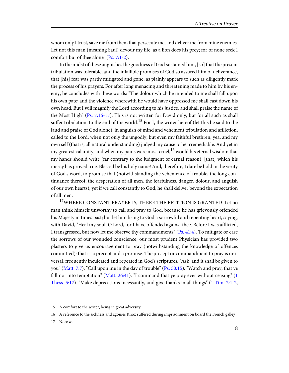<span id="page-11-0"></span>whom only I trust, save me from them that persecute me, and deliver me from mine enemies. Let not this man (meaning Saul) devour my life, as a lion does his prey; for of none seek I comfort but of thee alone" ([Ps. 7:1-2](http://www.ccel.org/study/Bible:Ps.7.1-Ps.7.2)).

<span id="page-11-1"></span>In the midst of these anguishes the goodness of God sustained him, [so] that the present tribulation was tolerable, and the infallible promises of God so assured him of deliverance, that [his] fear was partly mitigated and gone, as plainly appears to such as diligently mark the process of his prayers. For after long menacing and threatening made to him by his enemy, he concludes with these words: "The dolour which he intended to me shall fall upon his own pate; and the violence wherewith he would have oppressed me shall cast down his own head. But I will magnify the Lord according to his justice, and shall praise the name of the Most High" [\(Ps. 7:16-17\)](http://www.ccel.org/study/Bible:Ps.7.16-Ps.7.17). This is not written for David only, but for all such as shall suffer tribulation, to the end of the world.<sup>15</sup> For I, the writer hereof (let this be said to the laud and praise of God alone), in anguish of mind and vehement tribulation and affliction, called to the Lord, when not only the ungodly, but even my faithful brethren, yea, and my own self (that is, all natural understanding) judged my cause to be irremediable. And yet in my greatest calamity, and when my pains were most cruel,  $16$  would his eternal wisdom that my hands should write (far contrary to the judgment of carnal reason), [that] which his mercy has proved true. Blessed be his holy name! And, therefore, I dare be bold in the verity of God's word, to promise that (notwithstanding the vehemence of trouble, the long continuance thereof, the desperation of all men, the fearfulness, danger, dolour, and anguish of our own hearts), yet if we call constantly to God, he shall deliver beyond the expectation of all men.

<span id="page-11-5"></span><span id="page-11-4"></span><span id="page-11-3"></span><span id="page-11-2"></span><sup>17</sup>WHERE CONSTANT PRAYER IS, THERE THE PETITION IS GRANTED. Let no man think himself unworthy to call and pray to God, because he has grievously offended his Majesty in times past; but let him bring to God a sorrowful and repenting heart, saying, with David, "Heal my soul, O Lord, for I have offended against thee. Before I was afflicted, I transgressed, but now let me observe thy commandments" ([Ps. 41:4](http://www.ccel.org/study/Bible:Ps.41.4)). To mitigate or ease the sorrows of our wounded conscience, our most prudent Physician has provided two plasters to give us encouragement to pray (notwithstanding the knowledge of offences committed): that is, a precept and a promise. The precept or commandment to pray is universal, frequently inculcated and repeated in God's scriptures. "Ask, and it shall be given to you" [\(Matt. 7:7\)](http://www.ccel.org/study/Bible:Matt.7.7). "Call upon me in the day of trouble" [\(Ps. 50:15](http://www.ccel.org/study/Bible:Ps.50.15)). "Watch and pray, that ye fall not into temptation" ([Matt. 26:41](http://www.ccel.org/study/Bible:Matt.26.41)). "I command that ye pray ever without ceasing" ([1](http://www.ccel.org/study/Bible:1Thess.5.17) [Thess. 5:17](http://www.ccel.org/study/Bible:1Thess.5.17)). "Make deprecations incessantly, and give thanks in all things" ([1 Tim. 2:1-2,](http://www.ccel.org/study/Bible:1Tim.2.1-1Tim.2.2)

<sup>15</sup> A comfort to the writer, being in great adversity

<sup>16</sup> A reference to the sickness and agonies Knox suffered during imprisonment on board the French galley

<sup>17</sup> Note well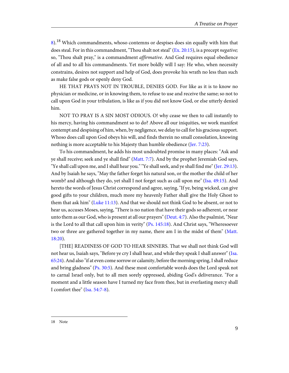<span id="page-12-12"></span><span id="page-12-0"></span> $8$ .<sup>18</sup> Which commandments, whoso contemns or despises does sin equally with him that does steal. For in this commandment, "Thou shalt not steal"  $(Ex, 20:15)$ , is a precept *negative*; so, "Thou shalt pray," is a commandment *affirmative*. And God requires equal obedience of all and to all his commandments. Yet more boldly will I say: He who, when necessity constrains, desires not support and help of God, does provoke his wrath no less than such as make false gods or openly deny God.

HE THAT PRAYS NOT IN TROUBLE, DENIES GOD. For like as it is to know no physician or medicine, or in knowing them, to refuse to use and receive the same; so not to call upon God in your tribulation, is like as if you did not know God, or else utterly denied him.

<span id="page-12-7"></span>NOT TO PRAY IS A SIN MOST ODIOUS. O! why cease we then to call instantly to his mercy, having his commandment so to do? Above all our iniquities, we work manifest contempt and despising of him, when, by negligence, we delay to call for his gracious support. Whoso does call upon God obeys his will, and finds therein no small consolation, knowing nothing is more acceptable to his Majesty than humble obedience ([Jer. 7:23](http://www.ccel.org/study/Bible:Jer.7.23)).

<span id="page-12-11"></span><span id="page-12-9"></span><span id="page-12-8"></span><span id="page-12-4"></span><span id="page-12-1"></span>To his commandment, he adds his most undoubted promise in many places: "Ask and ye shall receive; seek and ye shall find" [\(Matt. 7:7\)](http://www.ccel.org/study/Bible:Matt.7.7). And by the prophet Jeremiah God says, "Ye shall call upon me, and I shall hear you." "Ye shall seek, and ye shall find me" [\(Jer. 29:13\)](http://www.ccel.org/study/Bible:Jer.29.13). And by Isaiah he says, "May the father forget his natural son, or the mother the child of her womb? and although they do, yet shall I not forget such as call upon me" [\(Isa. 49:15\)](http://www.ccel.org/study/Bible:Isa.49.15). And hereto the words of Jesus Christ correspond and agree, saying, "If ye, being wicked, can give good gifts to your children, much more my heavenly Father shall give the Holy Ghost to them that ask him" ([Luke 11:13](http://www.ccel.org/study/Bible:Luke.11.13)). And that we should not think God to be absent, or not to hear us, accuses Moses, saying, "There is no nation that have their gods so adherent, or near unto them as our God, who is present at all our prayers" [\(Deut. 4:7\)](http://www.ccel.org/study/Bible:Deut.4.7). Also the psalmist, "Near is the Lord to all that call upon him in verity" ([Ps. 145:18\)](http://www.ccel.org/study/Bible:Ps.145.18). And Christ says, "Wheresoever two or three are gathered together in my name, there am I in the midst of them" [\(Matt.](http://www.ccel.org/study/Bible:Matt.18.20) [18:20\)](http://www.ccel.org/study/Bible:Matt.18.20).

<span id="page-12-10"></span><span id="page-12-6"></span><span id="page-12-5"></span><span id="page-12-3"></span><span id="page-12-2"></span>[THE] READINESS OF GOD TO HEAR SINNERS. That we shall not think God will not hear us, Isaiah says, "Before ye cry I shall hear, and while they speak I shall answer" ([Isa.](http://www.ccel.org/study/Bible:Isa.65.24) [65:24](http://www.ccel.org/study/Bible:Isa.65.24)). And also "if at even come sorrow or calamity, before the morning spring, I shall reduce and bring gladness" [\(Ps. 30:5\)](http://www.ccel.org/study/Bible:Ps.30.5). And these most comfortable words does the Lord speak not to carnal Israel only, but to all men sorely oppressed, abiding God's deliverance. "For a moment and a little season have I turned my face from thee, but in everlasting mercy shall I comfort thee" ([Isa. 54:7-8\)](http://www.ccel.org/study/Bible:Isa.54.7-Isa.54.8).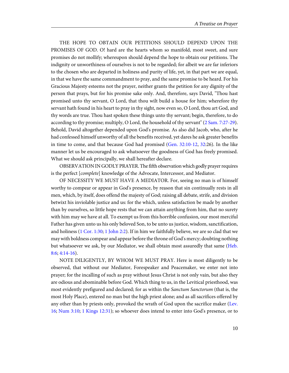THE HOPE TO OBTAIN OUR PETITIONS SHOULD DEPEND UPON THE PROMISES OF GOD. O! hard are the hearts whom so manifold, most sweet, and sure promises do not mollify; whereupon should depend the hope to obtain our petitions. The indignity or unworthiness of ourselves is not to be regarded; for albeit we are far inferiors to the chosen who are departed in holiness and purity of life, yet, in that part we are equal, in that we have the same commandment to pray, and the same promise to be heard. For his Gracious Majesty esteems not the prayer, neither grants the petition for any dignity of the person that prays, but for his promise sake only. And, therefore, says David, "Thou hast promised unto thy servant, O Lord, that thou wilt build a house for him; wherefore thy servant hath found in his heart to pray in thy sight, now even so, O Lord, thou art God, and thy words are true. Thou hast spoken these things unto thy servant; begin, therefore, to do according to thy promise; multiply, O Lord, the household of thy servant" ([2 Sam. 7:27-29\)](http://www.ccel.org/study/Bible:2Sam.7.27-2Sam.7.29). Behold, David altogether depended upon God's promise. As also did Jacob, who, after he had confessed himself unworthy of all the benefits received, yet dares he ask greater benefits in time to come, and that because God had promised ([Gen. 32:10-12](http://www.ccel.org/study/Bible:Gen.32.10-Gen.32.12), [32:](http://www.ccel.org/study/Bible:Gen.32.32)26). In the like manner let us be encouraged to ask whatsoever the goodness of God has freely promised. What we should ask principally, we shall hereafter declare.

<span id="page-13-3"></span><span id="page-13-0"></span>OBSERVATION IN GODLY PRAYER. The fifth observation which godly prayer requires is the perfect [complete] knowledge of the Advocate, Intercessor, and Mediator.

<span id="page-13-4"></span>OF NECESSITY WE MUST HAVE A MEDIATOR. For, seeing no man is of himself worthy to compear or appear in God's presence, by reason that sin continually rests in all men, which, by itself, does offend the majesty of God; raising all debate, strife, and division betwixt his inviolable justice and us: for the which, unless satisfaction be made by another than by ourselves, so little hope rests that we can attain anything from him, that no surety with him may we have at all. To exempt us from this horrible confusion, our most merciful Father has given unto us his only beloved Son, to be unto us justice, wisdom, sanctification, and holiness [\(1 Cor. 1:30](http://www.ccel.org/study/Bible:1Cor.1.30); [1 John 2:2](http://www.ccel.org/study/Bible:1John.2.2)). If in him we faithfully believe, we are so clad that we may with boldness compear and appear before the throne of God's mercy; doubting nothing but whatsoever we ask, by our Mediator, we shall obtain most assuredly that same ([Heb.](http://www.ccel.org/study/Bible:Heb.8.6) [8:6](http://www.ccel.org/study/Bible:Heb.8.6); [4:14-16\)](http://www.ccel.org/study/Bible:Heb.4.14-Heb.4.16).

<span id="page-13-6"></span><span id="page-13-5"></span><span id="page-13-2"></span><span id="page-13-1"></span>NOTE DILIGENTLY, BY WHOM WE MUST PRAY. Here is most diligently to be observed, that without our Mediator, Forespeaker and Peacemaker, we enter not into prayer; for the incalling of such as pray without Jesus Christ is not only vain, but also they are odious and abominable before God. Which thing to us, in the Levitical priesthood, was most evidently prefigured and declared; for as within the *Sanctum Sanctorum* (that is, the most Holy Place), entered no man but the high priest alone; and as all sacrifices offered by any other than by priests only, provoked the wrath of God upon the sacrifice maker ([Lev.](http://www.ccel.org/study/Bible:Lev.16) [16;](http://www.ccel.org/study/Bible:Lev.16) [Num 3:10](http://www.ccel.org/study/Bible:Num.3.10); [1 Kings 12:31](http://www.ccel.org/study/Bible:1Kgs.12.31)); so whoever does intend to enter into God's presence, or to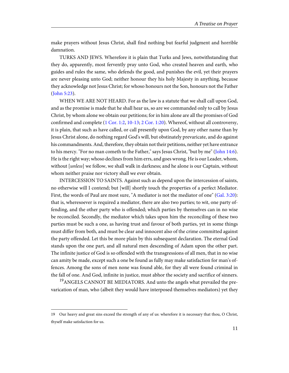make prayers without Jesus Christ, shall find nothing but fearful judgment and horrible damnation.

TURKS AND JEWS. Wherefore it is plain that Turks and Jews, notwithstanding that they do, apparently, most fervently pray unto God, who created heaven and earth, who guides and rules the same, who defends the good, and punishes the evil, yet their prayers are never pleasing unto God; neither honour they his holy Majesty in anything, because they acknowledge not Jesus Christ; for whoso honours not the Son, honours not the Father ([John 5:23\)](http://www.ccel.org/study/Bible:John.5.23).

<span id="page-14-2"></span><span id="page-14-1"></span><span id="page-14-0"></span>WHEN WE ARE NOT HEARD. For as the law is a statute that we shall call upon God, and as the promise is made that he shall hear us, so are we commanded only to call by Jesus Christ, by whom alone we obtain our petitions; for in him alone are all the promises of God confirmed and complete [\(1 Cor. 1:2,](http://www.ccel.org/study/Bible:1Cor.1.2) [10-13](http://www.ccel.org/study/Bible:1Cor.1.10-1Cor.1.13); [2 Cor. 1:20](http://www.ccel.org/study/Bible:2Cor.1.20)). Whereof, without all controversy, it is plain, that such as have called, or call presently upon God, by any other name than by Jesus Christ alone, do nothing regard God's will, but obstinately prevaricate, and do against his commandments. And, therefore, they obtain not their petitions, neither yet have entrance to his mercy. "For no man cometh to the Father," says Jesus Christ, "but by me" [\(John 14:6\)](http://www.ccel.org/study/Bible:John.14.6). He is the right way; whoso declines from him errs, and goes wrong. He is our Leader, whom, without [*unless*] we follow, we shall walk in darkness; and he alone is our Captain, without whom neither praise nor victory shall we ever obtain.

<span id="page-14-3"></span>INTERCESSION TO SAINTS. Against such as depend upon the intercession of saints, no otherwise will I contend; but [will] shortly touch the properties of a perfect Mediator. First, the words of Paul are most sure, "A mediator is not the mediator of one" ([Gal. 3:20\)](http://www.ccel.org/study/Bible:Gal.3.20): that is, wheresoever is required a mediator, there are also two parties; to wit, one party offending, and the other party who is offended; which parties by themselves can in no wise be reconciled. Secondly, the mediator which takes upon him the reconciling of these two parties must be such a one, as having trust and favour of both parties, yet in some things must differ from both, and must be clear and innocent also of the crime committed against the party offended. Let this be more plain by this subsequent declaration. The eternal God stands upon the one part, and all natural men descending of Adam upon the other part. The infinite justice of God is so offended with the transgressions of all men, that in no wise can amity be made, except such a one be found as fully may make satisfaction for man's offences. Among the sons of men none was found able, for they all were found criminal in the fall of one. And God, infinite in justice, must abhor the society and sacrifice of sinners.

<sup>19</sup>ANGELS CANNOT BE MEDIATORS. And unto the angels what prevailed the prevarication of man, who (albeit they would have interposed themselves mediators) yet they

<sup>19</sup> Our heavy and great sins exceed the strength of any of us: wherefore it is necessary that thou, O Christ, thyself make satisfaction for us.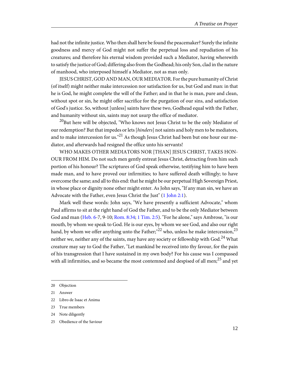had not the infinite justice. Who then shall here be found the peacemaker? Surely the infinite goodness and mercy of God might not suffer the perpetual loss and repudiation of his creatures; and therefore his eternal wisdom provided such a Mediator, having wherewith to satisfy the justice of God; differing also from the Godhead; his only Son, clad in the nature of manhood, who interposed himself a Mediator, not as man only.

JESUS CHRIST, GOD AND MAN, OUR MEDIATOR. For the pure humanity of Christ (of itself) might neither make intercession nor satisfaction for us, but God and man: in that he is God, he might complete the will of the Father; and in that he is man, pure and clean, without spot or sin, he might offer sacrifice for the purgation of our sins, and satisfaction of God's justice. So, without [unless] saints have these two, Godhead equal with the Father, and humanity without sin, saints may not usurp the office of mediator.

 $^{20}$ But here will be objected, "Who knows not Jesus Christ to be the only Mediator of our redemption? But that impedes or lets [hinders] not saints and holy men to be mediators, and to make intercession for us."<sup>21</sup> As though Jesus Christ had been but one hour our mediator, and afterwards had resigned the office unto his servants!

<span id="page-15-1"></span>WHO MAKES OTHER MEDIATORS NOR [THAN] JESUS CHRIST, TAKES HON-OUR FROM HIM. Do not such men gently entreat Jesus Christ, detracting from him such portion of his honour? The scriptures of God speak otherwise, testifying him to have been made man, and to have proved our infirmities; to have suffered death willingly; to have overcome the same; and all to this end: that he might be our perpetual High Sovereign Priest, in whose place or dignity none other might enter. As John says, "If any man sin, we have an Advocate with the Father, even Jesus Christ the Just" [\(1 John 2:1\)](http://www.ccel.org/study/Bible:1John.2.1).

<span id="page-15-0"></span>Mark well these words: John says, "We have presently a sufficient Advocate," whom Paul affirms to sit at the right hand of God the Father, and to be the only Mediator between God and man [\(Heb. 6](http://www.ccel.org/study/Bible:Heb.6)-7, 9-10; [Rom. 8:34](http://www.ccel.org/study/Bible:Rom.8.34); [1 Tim. 2:5](http://www.ccel.org/study/Bible:1Tim.2.5)). "For he alone," says Ambrose, "is our mouth, by whom we speak to God. He is our eyes, by whom we see God, and also our right hand, by whom we offer anything unto the Father;  $12$ <sup>22</sup> who, unless he make intercession,<sup>23</sup> neither we, neither any of the saints, may have any society or fellowship with God.<sup>24</sup> What creature may say to God the Father, "Let mankind be received into thy favour, for the pain of his transgression that I have sustained in my own body? For his cause was I compassed with all infirmities, and so became the most contemned and despised of all men; $^{25}$  and yet

25 Obedience of the Saviour

<sup>20</sup> Objection

<sup>21</sup> Answer

<sup>22</sup> Libro de Isaac et Anima

<sup>23</sup> True members

<sup>24</sup> Note diligently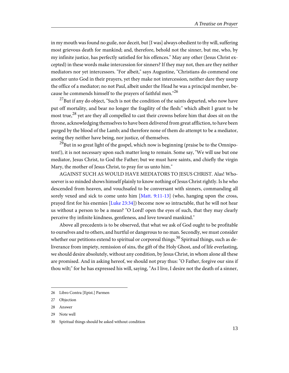in my mouth was found no guile, nor deceit, but [I was] always obedient to thy will, suffering most grievous death for mankind; and, therefore, behold not the sinner, but me, who, by my infinite justice, has perfectly satisfied for his offences." May any other (Jesus Christ excepted) in these words make intercession for sinners? If they may not, then are they neither mediators nor yet intercessors. "For albeit," says Augustine, "Christians do commend one another unto God in their prayers, yet they make not intercession, neither dare they usurp the office of a mediator; no not Paul, albeit under the Head he was a principal member, because he commends himself to the prayers of faithful men."<sup>26</sup>

 $^{27}$ But if any do object, "Such is not the condition of the saints departed, who now have put off mortality, and bear no longer the fragility of the flesh:" which albeit I grant to be most true,<sup>28</sup> yet are they all compelled to cast their crowns before him that does sit on the throne, acknowledging themselves to have been delivered from great affliction, to have been purged by the blood of the Lamb; and therefore none of them do attempt to be a mediator, seeing they neither have being, nor justice, of themselves.

 $^{29}$ But in so great light of the gospel, which now is beginning (praise be to the Omnipotent!), it is not necessary upon such matter long to remain. Some say, "We will use but one mediator, Jesus Christ, to God the Father; but we must have saints, and chiefly the virgin Mary, the mother of Jesus Christ, to pray for us unto him."

<span id="page-16-1"></span><span id="page-16-0"></span>AGAINST SUCH AS WOULD HAVE MEDIATORS TO JESUS CHRIST. Alas! Whosoever is so minded shows himself plainly to know nothing of Jesus Christ rightly. Is he who descended from heaven, and vouchsafed to be conversant with sinners, commanding all sorely vexed and sick to come unto him [\[Matt. 9:11-13](http://www.ccel.org/study/Bible:Matt.9.11-Matt.9.13)] (who, hanging upon the cross, prayed first for his enemies [\[Luke 23:34](http://www.ccel.org/study/Bible:Luke.23.34)]) become now so intractable, that he will not hear us without a person to be a mean? "O Lord! open the eyes of such, that they may clearly perceive thy infinite kindness, gentleness, and love toward mankind."

Above all precedents is to be observed, that what we ask of God ought to be profitable to ourselves and to others, and hurtful or dangerous to no man. Secondly, we must consider whether our petitions extend to spiritual or corporeal things.<sup>30</sup> Spiritual things, such as deliverance from impiety, remission of sins, the gift of the Holy Ghost, and of life everlasting, we should desire absolutely, without any condition, by Jesus Christ, in whom alone all these are promised. And in asking hereof, we should not pray thus: "O Father, forgive our sins if thou wilt;" for he has expressed his will, saying, "As I live, I desire not the death of a sinner,

<sup>26</sup> Libro Contra [Epist.] Parmen

<sup>27</sup> Objection

<sup>28</sup> Answer

<sup>29</sup> Note well

<sup>30</sup> Spiritual things should be asked without condition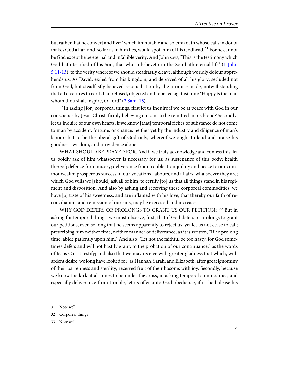<span id="page-17-1"></span>but rather that he convert and live;" which immutable and solemn oath whoso calls in doubt makes God a liar, and, so far as in him lies, would spoil him of his Godhead.<sup>31</sup> For he cannot be God except he be eternal and infallible verity. And John says, "This is the testimony which God hath testified of his Son, that whoso believeth in the Son hath eternal life" ([1 John](http://www.ccel.org/study/Bible:1John.5.11-1John.5.13) [5:11-13\)](http://www.ccel.org/study/Bible:1John.5.11-1John.5.13); to the verity whereof we should steadfastly cleave, although worldly dolour apprehends us. As David, exiled from his kingdom, and deprived of all his glory, secluded not from God, but steadfastly believed reconciliation by the promise made, notwithstanding that all creatures in earth had refused, objected and rebelled against him: "Happy is the man whom thou shalt inspire, O Lord" [\(2 Sam. 15\)](http://www.ccel.org/study/Bible:2Sam.15).

<span id="page-17-0"></span> $32$ In asking [for] corporeal things, first let us inquire if we be at peace with God in our conscience by Jesus Christ, firmly believing our sins to be remitted in his blood? Secondly, let us inquire of our own hearts, if we know [that] temporal riches or substance do not come to man by accident, fortune, or chance, neither yet by the industry and diligence of man's labour; but to be the liberal gift of God only, whereof we ought to laud and praise his goodness, wisdom, and providence alone.

WHAT SHOULD BE PRAYED FOR. And if we truly acknowledge and confess this, let us boldly ask of him whatsoever is necessary for us: as sustenance of this body; health thereof; defence from misery; deliverance from trouble; tranquillity and peace to our commonwealth; prosperous success in our vocations, labours, and affairs, whatsoever they are; which God wills we [should] ask all of him, to certify [to] us that all things stand in his regiment and disposition. And also by asking and receiving these corporeal commodities, we have [a] taste of his sweetness, and are inflamed with his love, that thereby our faith of reconciliation, and remission of our sins, may be exercised and increase.

WHY GOD DEFERS OR PROLONGS TO GRANT US OUR PETITIONS.<sup>33</sup> But in asking for temporal things, we must observe, first, that if God defers or prolongs to grant our petitions, even so long that he seems apparently to reject us, yet let us not cease to call; prescribing him neither time, neither manner of deliverance; as it is written, "If he prolong time, abide patiently upon him." And also, "Let not the faithful be too hasty, for God sometimes defers and will not hastily grant, to the probation of our continuance," as the words of Jesus Christ testify; and also that we may receive with greater gladness that which, with ardent desire, we long have looked for: as Hannah, Sarah, and Elizabeth, after great ignominy of their barrenness and sterility, received fruit of their bosoms with joy. Secondly, because we know the kirk at all times to be under the cross, in asking temporal commodities, and especially deliverance from trouble, let us offer unto God obedience, if it shall please his

<sup>31</sup> Note well

<sup>32</sup> Corporeal things

<sup>33</sup> Note well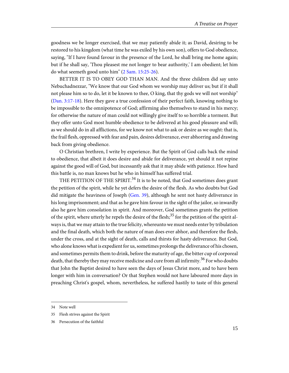goodness we be longer exercised, that we may patiently abide it; as David, desiring to be restored to his kingdom (what time he was exiled by his own son), offers to God obedience, saying, "If I have found favour in the presence of the Lord, he shall bring me home again; but if he shall say, 'Thou pleasest me not longer to bear authority,' I am obedient; let him do what seemeth good unto him" [\(2 Sam. 15:25-26](http://www.ccel.org/study/Bible:2Sam.15.25-2Sam.15.26)).

<span id="page-18-2"></span><span id="page-18-1"></span>BETTER IT IS TO OBEY GOD THAN MAN. And the three children did say unto Nebuchadnezzar, "We know that our God whom we worship may deliver us; but if it shall not please him so to do, let it be known to thee, O king, that thy gods we will not worship" ([Dan. 3:17-18\)](http://www.ccel.org/study/Bible:Dan.3.17-Dan.3.18). Here they gave a true confession of their perfect faith, knowing nothing to be impossible to the omnipotence of God; affirming also themselves to stand in his mercy; for otherwise the nature of man could not willingly give itself to so horrible a torment. But they offer unto God most humble obedience to be delivered at his good pleasure and will; as we should do in all afflictions, for we know not what to ask or desire as we ought: that is, the frail flesh, oppressed with fear and pain, desires deliverance, ever abhorring and drawing back from giving obedience.

O Christian brethren, I write by experience. But the Spirit of God calls back the mind to obedience, that albeit it does desire and abide for deliverance, yet should it not repine against the good will of God, but incessantly ask that it may abide with patience. How hard this battle is, no man knows but he who in himself has suffered trial.

<span id="page-18-0"></span>THE PETITION OF THE SPIRIT.<sup>34</sup> It is to be noted, that God sometimes does grant the petition of the spirit, while he yet defers the desire of the flesh. As who doubts but God did mitigate the heaviness of Joseph ([Gen. 39\)](http://www.ccel.org/study/Bible:Gen.39), although he sent not hasty deliverance in his long imprisonment; and that as he gave him favour in the sight of the jailor, so inwardly also he gave him consolation in spirit. And moreover, God sometimes grants the petition of the spirit, where utterly he repels the desire of the flesh;<sup>35</sup> for the petition of the spirit always is, that we may attain to the true felicity, whereunto we must needs enter by tribulation and the final death, which both the nature of man does ever abhor, and therefore the flesh, under the cross, and at the sight of death, calls and thirsts for hasty deliverance. But God, who alone knows what is expedient for us, sometimes prolongs the deliverance of his chosen, and sometimes permits them to drink, before the maturity of age, the bitter cup of corporeal death, that thereby they may receive medicine and cure from all infirmity.<sup>36</sup> For who doubts that John the Baptist desired to have seen the days of Jesus Christ more, and to have been longer with him in conversation? Or that Stephen would not have laboured more days in preaching Christ's gospel, whom, nevertheless, he suffered hastily to taste of this general

<sup>34</sup> Note well

<sup>35</sup> Flesh strives against the Spirit

<sup>36</sup> Persecution of the faithful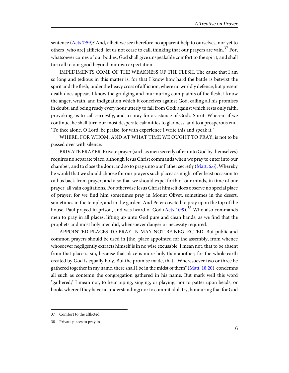<span id="page-19-2"></span>sentence [\(Acts 7:59\)](http://www.ccel.org/study/Bible:Acts.7.59)? And, albeit we see therefore no apparent help to ourselves, nor yet to others [who are] afflicted, let us not cease to call, thinking that our prayers are vain.<sup>37</sup> For, whatsoever comes of our bodies, God shall give unspeakable comfort to the spirit, and shall turn all to our good beyond our own expectation.

IMPEDIMENTS COME OF THE WEAKNESS OF THE FLESH. The cause that I am so long and tedious in this matter is, for that I know how hard the battle is betwixt the spirit and the flesh, under the heavy cross of affliction, where no worldly defence, but present death does appear. I know the grudging and murmuring com plaints of the flesh; I know the anger, wrath, and indignation which it conceives against God, calling all his promises in doubt, and being ready every hour utterly to fall from God: against which rests only faith, provoking us to call earnestly, and to pray for assistance of God's Spirit. Wherein if we continue, he shall turn our most desperate calamities to gladness, and to a prosperous end. "To thee alone, O Lord, be praise, for with experience I write this and speak it."

WHERE, FOR WHOM, AND AT WHAT TIME WE OUGHT TO PRAY, is not to be passed over with silence.

<span id="page-19-3"></span><span id="page-19-0"></span>PRIVATE PRAYER. Private prayer (such as men secretly offer unto God by themselves) requires no separate place, although Jesus Christ commands when we pray to enter into our chamber, and to close the door, and so to pray unto our Father secretly [\(Matt. 6:6](http://www.ccel.org/study/Bible:Matt.6.6)). Whereby he would that we should choose for our prayers such places as might offer least occasion to call us back from prayer; and also that we should expel forth of our minds, in time of our prayer, all vain cogitations. For otherwise Jesus Christ himself does observe no special place of prayer; for we find him sometimes pray in Mount Olivet, sometimes in the desert, sometimes in the temple, and in the garden. And Peter coveted to pray upon the top of the house. Paul prayed in prison, and was heard of God [\(Acts 10:9\)](http://www.ccel.org/study/Bible:Acts.10.9).<sup>38</sup> Who also commands men to pray in all places, lifting up unto God pure and clean hands; as we find that the prophets and most holy men did, whensoever danger or necessity required.

<span id="page-19-1"></span>APPOINTED PLACES TO PRAY IN MAY NOT BE NEGLECTED. But public and common prayers should be used in [the] place appointed for the assembly, from whence whosoever negligently extracts himself is in no wise excusable. I mean not, that to be absent from that place is sin, because that place is more holy than another; for the whole earth created by God is equally holy. But the promise made, that, "Wheresoever two or three be gathered together in my name, there shall I be in the midst of them" ([Matt. 18:20](http://www.ccel.org/study/Bible:Matt.18.20)), condemns all such as contemn the congregation gathered in his name. But mark well this word "gathered;" I mean not, to hear piping, singing, or playing; nor to patter upon beads, or books whereof they have no understanding; nor to commit idolatry, honouring that for God

<sup>37</sup> Comfort to the afflicted.

<sup>38</sup> Private places to pray in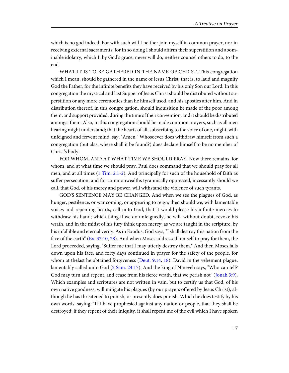which is no god indeed. For with such will I neither join myself in common prayer, nor in receiving external sacraments; for in so doing I should affirm their superstition and abominable idolatry, which I, by God's grace, never will do, neither counsel others to do, to the end.

WHAT IT IS TO BE GATHERED IN THE NAME OF CHRIST. This congregation which I mean, should be gathered in the name of Jesus Christ: that is, to laud and magnify God the Father, for the infinite benefits they have received by his only Son our Lord. In this congregation the mystical and last Supper of Jesus Christ should be distributed without superstition or any more ceremonies than he himself used, and his apostles after him. And in distribution thereof, in this congre gation, should inquisition be made of the poor among them, and support provided, during the time of their convention, and it should be distributed amongst them. Also, in this congregation should be made common prayers, such as all men hearing might understand; that the hearts of all, subscribing to the voice of one, might, with unfeigned and fervent mind, say, "Amen." Whosoever does withdraw himself from such a congregation (but alas, where shall it be found?) does declare himself to be no member of Christ's body.

<span id="page-20-4"></span>FOR WHOM, AND AT WHAT TIME WE SHOULD PRAY. Now there remains, for whom, and at what time we should pray. Paul does command that we should pray for all men, and at all times ([1 Tim. 2:1-2\)](http://www.ccel.org/study/Bible:1Tim.2.1-1Tim.2.2). And principally for such of the household of faith as suffer persecution, and for commonwealths tyrannically oppressed, incessantly should we call, that God, of his mercy and power, will withstand the violence of such tyrants.

<span id="page-20-3"></span><span id="page-20-2"></span><span id="page-20-1"></span><span id="page-20-0"></span>GOD'S SENTENCE MAY BE CHANGED. And when we see the plagues of God, as hunger, pestilence, or war coming, or appearing to reign; then should we, with lamentable voices and repenting hearts, call unto God, that it would please his infinite mercies to withdraw his hand; which thing if we do unfeignedly, he will, without doubt, revoke his wrath, and in the midst of his fury think upon mercy; as we are taught in the scripture, by his infallible and eternal verity. As in Exodus, God says, "I shall destroy this nation from the face of the earth" [\(Ex. 32:10](http://www.ccel.org/study/Bible:Exod.32.10), [28\)](http://www.ccel.org/study/Bible:Exod.32.28). And when Moses addressed himself to pray for them, the Lord proceeded, saying, "Suffer me that I may utterly destroy them." And then Moses falls down upon his face, and forty days continued in prayer for the safety of the people, for whom at thelast he obtained forgiveness ([Deut. 9:14,](http://www.ccel.org/study/Bible:Deut.9.14) [18](http://www.ccel.org/study/Bible:Deut.9.18)). David in the vehement plague, lamentably called unto God ([2 Sam. 24:17\)](http://www.ccel.org/study/Bible:2Sam.24.17). And the king of Nineveh says, "Who can tell? God may turn and repent, and cease from his fierce wrath, that we perish not" [\(Jonah 3:9\)](http://www.ccel.org/study/Bible:Jonah.3.9). Which examples and scriptures are not written in vain, but to certify us that God, of his own native goodness, will mitigate his plagues (by our prayers offered by Jesus Christ), although he has threatened to punish, or presently does punish. Which he does testify by his own words, saying, "If I have prophesied against any nation or people, that they shall be destroyed; if they repent of their iniquity, it shall repent me of the evil which I have spoken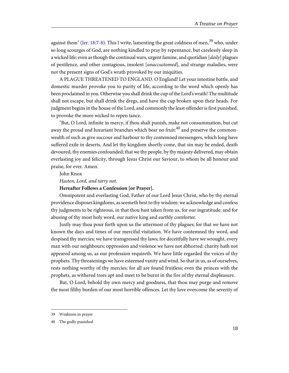<span id="page-21-0"></span>against them" ([Jer. 18:7-8](http://www.ccel.org/study/Bible:Jer.18.7-Jer.18.8)). This I write, lamenting the great coldness of men,  $39$  who, under so long scourges of God, are nothing kindled to pray by repentance, but carelessly sleep in a wicked life; even as though the continual wars, urgent famine, and quotidian  $\left[ \frac{daily}{} \right]$  plagues of pestilence, and other contagious, insolent [unaccustomed], and strange maladies, were not the present signs of God's wrath provoked by our iniquities.

A PLAGUE THREATENED TO ENGLAND. O England! Let your intestine battle, and domestic murder provoke you to purity of life, according to the word which openly has been proclaimed in you. Otherwise you shall drink the cup of the Lord's wrath! The multitude shall not escape, but shall drink the dregs, and have the cup broken upon their heads. For judgment begins in the house of the Lord, and commonly the least offender is first punished, to provoke the more wicked to repen tance.

"But, O Lord, infinite in mercy, if thou shalt punish, make not consummation, but cut away the proud and luxuriant branches which bear no fruit: $^{40}$  and preserve the commonwealth of such as give succour and harbour to thy contemned messengers, which long have suffered exile in deserts. And let thy kingdom shortly come, that sin may be ended, death devoured, thy enemies confounded; that we thy people, by thy majesty delivered, may obtain everlasting joy and felicity, through Jesus Christ our Saviour, to whom be all honour and praise, for ever. Amen.

John Knox

Hasten, Lord, and tarry not.

#### **Hereafter Follows a Confession [or Prayer].**

Omnipotent and everlasting God, Father of our Lord Jesus Christ, who by thy eternal providence disposes kingdoms, as seemeth best to thy wisdom: we acknowledge and confess thy judgments to be righteous, in that thou hast taken from us, for our ingratitude, and for abusing of thy most holy word, our native king and earthly comforter.

Justly may thou pour forth upon us the uttermost of thy plagues; for that we have not known the days and times of our merciful visitation. We have contemned thy word, and despised thy mercies; we have transgressed thy laws; for deceitfully have we wrought, every man with our neighbours; oppression and violence we have not abhorred: charity hath not appeared among us, as our profession requireth. We have little regarded the voices of thy prophets. Thy threatenings we have esteemed vanity and wind. So that in us, as of ourselves, rests nothing worthy of thy mercies; for all are found fruitless; even the princes with the prophets, as withered trees apt and meet to be burnt in the fire of thy eternal displeasure.

But, O Lord, behold thy own mercy and goodness, that thou may purge and remove the most filthy burden of our most horrible offences. Let thy love overcome the severity of

<sup>39</sup> Weakness in prayer

<sup>40</sup> The godly punished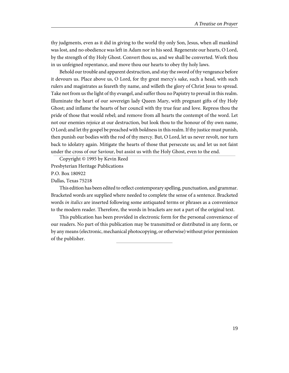thy judgments, even as it did in giving to the world thy only Son, Jesus, when all mankind was lost, and no obedience was left in Adam nor in his seed. Regenerate our hearts, O Lord, by the strength of thy Holy Ghost. Convert thou us, and we shall be converted. Work thou in us unfeigned repentance, and move thou our hearts to obey thy holy laws.

Behold our trouble and apparent destruction, and stay the sword of thy vengeance before it devours us. Place above us, O Lord, for thy great mercy's sake, such a head, with such rulers and magistrates as feareth thy name, and willeth the glory of Christ Jesus to spread. Take not from us the light of thy evangel, and suffer thou no Papistry to prevail in this realm. Illuminate the heart of our sovereign lady Queen Mary, with pregnant gifts of thy Holy Ghost; and inflame the hearts of her council with thy true fear and love. Repress thou the pride of those that would rebel; and remove from all hearts the contempt of the word. Let not our enemies rejoice at our destruction, but look thou to the honour of thy own name, O Lord; and let thy gospel be preached with boldness in this realm. If thy justice must punish, then punish our bodies with the rod of thy mercy. But, O Lord, let us never revolt, nor turn back to idolatry again. Mitigate the hearts of those that persecute us; and let us not faint under the cross of our Saviour, but assist us with the Holy Ghost, even to the end.

Copyright © 1995 by Kevin Reed Presbyterian Heritage Publications P.O. Box 180922 Dallas, Texas 75218

This edition has been edited to reflect contemporary spelling, punctuation, and grammar. Bracketed words are supplied where needed to complete the sense of a sentence. Bracketed words in italics are inserted following some antiquated terms or phrases as a convenience to the modern reader. Therefore, the words in brackets are not a part of the original text.

This publication has been provided in electronic form for the personal convenience of our readers. No part of this publication may be transmitted or distributed in any form, or by any means (electronic, mechanical photocopying, or otherwise) without prior permission of the publisher.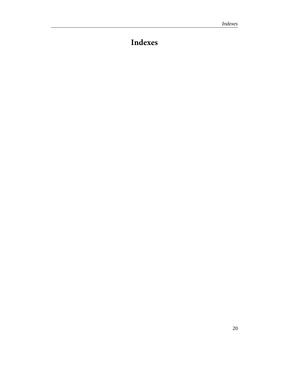# <span id="page-23-0"></span>**Indexes**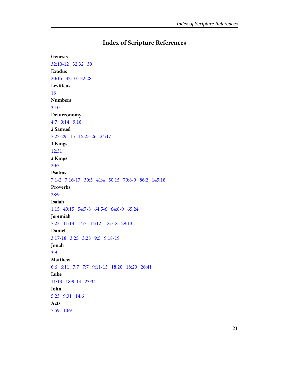## **Index of Scripture References**

<span id="page-24-0"></span>**Genesis** [32:10-12](#page-13-0) [32:32](#page-13-0) [39](#page-18-0) **Exodus** [20:15](#page-12-0)   [32:10](#page-20-0)   [32:28](#page-20-0)  **Leviticus** [16](#page-13-1)  **Numbers** [3:10](#page-13-2) **Deuteronomy** [4:7](#page-12-1) [9:14](#page-20-1)   [9:18](#page-20-1)  **2 Samuel** [7:27-29](#page-13-3)   [15](#page-17-0)   [15:25-26](#page-18-1) [24:17](#page-20-2)  **1 Kings** [12:31](#page-13-2)  **2 Kings** [20:3](#page-9-0) **Psalms** [7:1-2](#page-11-0) [7:16-17](#page-11-1)   [30:5](#page-12-2) [41:4](#page-11-2) [50:15](#page-11-3) [79:8-9](#page-8-0) [86:2](#page-9-1) [145:18](#page-12-3)  **Proverbs** [28:9](#page-8-1) **Isaiah** [1:15](#page-8-2) [49:15](#page-12-4)  [54:7-8](#page-12-5) [64:5-6](#page-8-3)   [64:8-9](#page-8-3)   [65:24](#page-12-6)  **Jeremiah** [7:23](#page-12-7) [11:14](#page-8-2)  [14:7](#page-8-4) [14:12](#page-8-2) [18:7-8](#page-21-0)  [29:13](#page-12-8)  **Daniel** [3:17-18](#page-18-2)   [3:25](#page-6-1)   [3:28](#page-6-1) [9:5](#page-8-5) [9:18-19](#page-8-5) **Jonah** [3:9](#page-20-3) **Matthew** [6:6](#page-19-0) [6:11](#page-10-0)   [7:7](#page-11-3)  [7:7](#page-12-9) [9:11-13](#page-16-0) [18:20](#page-12-10)  [18:20](#page-19-1)   [26:41](#page-11-4)  **Luke** [11:13](#page-12-11)   [18:9-14](#page-8-6)   [23:34](#page-16-1) **John** [5:23](#page-14-0) [9:31](#page-8-7) [14:6](#page-14-1) **Acts** [7:59](#page-19-2) [10:9](#page-19-3)